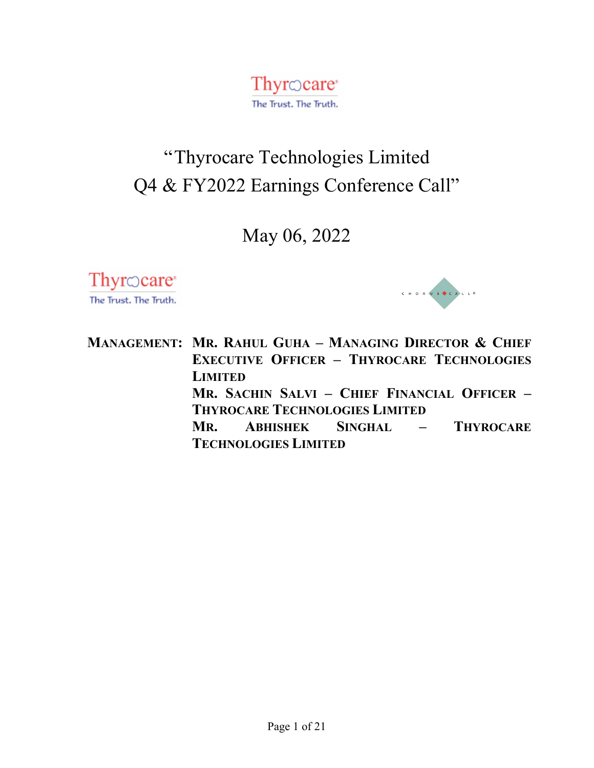Thyrocare<sup> $\cdot$ </sup> The Trust. The Truth.

# "Thyrocare Technologies Limited Q4 & FY2022 Earnings Conference Call"

May 06, 2022

Thyr $\odot$ care The Trust. The Truth.



**MANAGEMENT: MR. RAHUL GUHA – MANAGING DIRECTOR & CHIEF EXECUTIVE OFFICER – THYROCARE TECHNOLOGIES LIMITED MR. SACHIN SALVI – CHIEF FINANCIAL OFFICER – THYROCARE TECHNOLOGIES LIMITED MR. ABHISHEK SINGHAL – THYROCARE TECHNOLOGIES LIMITED**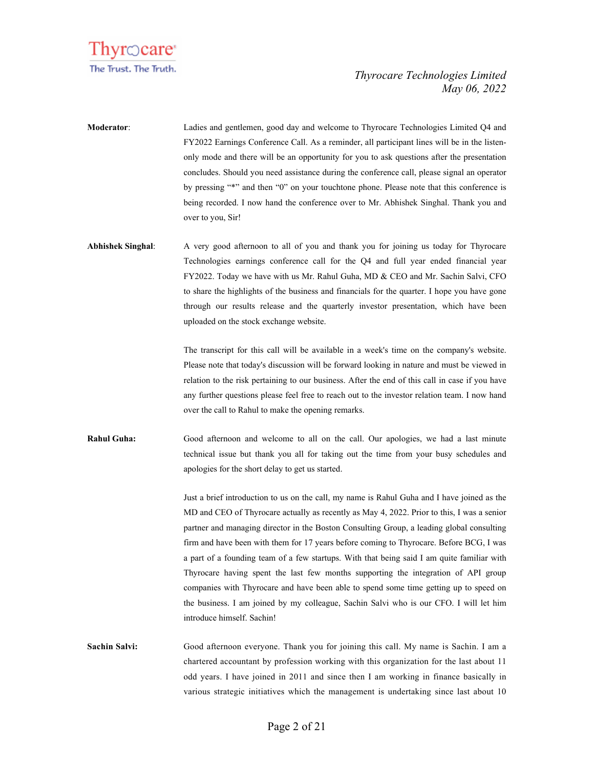

- **Moderator**: Ladies and gentlemen, good day and welcome to Thyrocare Technologies Limited Q4 and FY2022 Earnings Conference Call. As a reminder, all participant lines will be in the listenonly mode and there will be an opportunity for you to ask questions after the presentation concludes. Should you need assistance during the conference call, please signal an operator by pressing "\*" and then "0" on your touchtone phone. Please note that this conference is being recorded. I now hand the conference over to Mr. Abhishek Singhal. Thank you and over to you, Sir!
- **Abhishek Singhal**: A very good afternoon to all of you and thank you for joining us today for Thyrocare Technologies earnings conference call for the Q4 and full year ended financial year FY2022. Today we have with us Mr. Rahul Guha, MD & CEO and Mr. Sachin Salvi, CFO to share the highlights of the business and financials for the quarter. I hope you have gone through our results release and the quarterly investor presentation, which have been uploaded on the stock exchange website.

The transcript for this call will be available in a week's time on the company's website. Please note that today's discussion will be forward looking in nature and must be viewed in relation to the risk pertaining to our business. After the end of this call in case if you have any further questions please feel free to reach out to the investor relation team. I now hand over the call to Rahul to make the opening remarks.

**Rahul Guha:** Good afternoon and welcome to all on the call. Our apologies, we had a last minute technical issue but thank you all for taking out the time from your busy schedules and apologies for the short delay to get us started.

> Just a brief introduction to us on the call, my name is Rahul Guha and I have joined as the MD and CEO of Thyrocare actually as recently as May 4, 2022. Prior to this, I was a senior partner and managing director in the Boston Consulting Group, a leading global consulting firm and have been with them for 17 years before coming to Thyrocare. Before BCG, I was a part of a founding team of a few startups. With that being said I am quite familiar with Thyrocare having spent the last few months supporting the integration of API group companies with Thyrocare and have been able to spend some time getting up to speed on the business. I am joined by my colleague, Sachin Salvi who is our CFO. I will let him introduce himself. Sachin!

**Sachin Salvi:** Good afternoon everyone. Thank you for joining this call. My name is Sachin. I am a chartered accountant by profession working with this organization for the last about 11 odd years. I have joined in 2011 and since then I am working in finance basically in various strategic initiatives which the management is undertaking since last about 10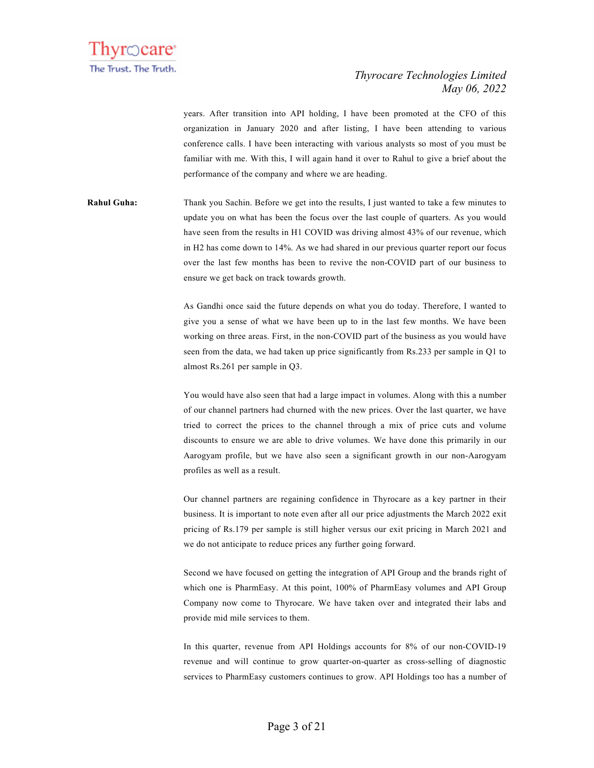

years. After transition into API holding, I have been promoted at the CFO of this organization in January 2020 and after listing, I have been attending to various conference calls. I have been interacting with various analysts so most of you must be familiar with me. With this, I will again hand it over to Rahul to give a brief about the performance of the company and where we are heading.

**Rahul Guha:** Thank you Sachin. Before we get into the results, I just wanted to take a few minutes to update you on what has been the focus over the last couple of quarters. As you would have seen from the results in H1 COVID was driving almost 43% of our revenue, which in H2 has come down to 14%. As we had shared in our previous quarter report our focus over the last few months has been to revive the non-COVID part of our business to ensure we get back on track towards growth.

> As Gandhi once said the future depends on what you do today. Therefore, I wanted to give you a sense of what we have been up to in the last few months. We have been working on three areas. First, in the non-COVID part of the business as you would have seen from the data, we had taken up price significantly from Rs.233 per sample in Q1 to almost Rs.261 per sample in Q3.

> You would have also seen that had a large impact in volumes. Along with this a number of our channel partners had churned with the new prices. Over the last quarter, we have tried to correct the prices to the channel through a mix of price cuts and volume discounts to ensure we are able to drive volumes. We have done this primarily in our Aarogyam profile, but we have also seen a significant growth in our non-Aarogyam profiles as well as a result.

> Our channel partners are regaining confidence in Thyrocare as a key partner in their business. It is important to note even after all our price adjustments the March 2022 exit pricing of Rs.179 per sample is still higher versus our exit pricing in March 2021 and we do not anticipate to reduce prices any further going forward.

> Second we have focused on getting the integration of API Group and the brands right of which one is PharmEasy. At this point, 100% of PharmEasy volumes and API Group Company now come to Thyrocare. We have taken over and integrated their labs and provide mid mile services to them.

> In this quarter, revenue from API Holdings accounts for 8% of our non-COVID-19 revenue and will continue to grow quarter-on-quarter as cross-selling of diagnostic services to PharmEasy customers continues to grow. API Holdings too has a number of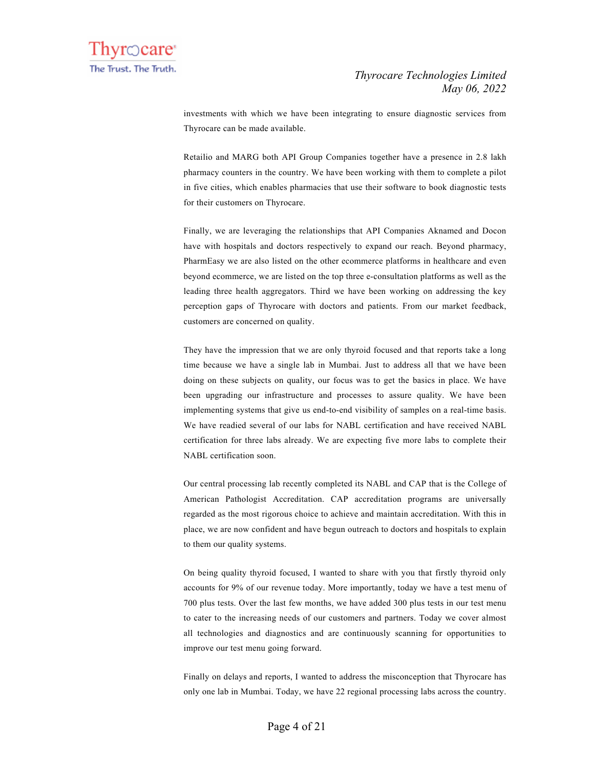investments with which we have been integrating to ensure diagnostic services from Thyrocare can be made available.

Retailio and MARG both API Group Companies together have a presence in 2.8 lakh pharmacy counters in the country. We have been working with them to complete a pilot in five cities, which enables pharmacies that use their software to book diagnostic tests for their customers on Thyrocare.

Finally, we are leveraging the relationships that API Companies Aknamed and Docon have with hospitals and doctors respectively to expand our reach. Beyond pharmacy, PharmEasy we are also listed on the other ecommerce platforms in healthcare and even beyond ecommerce, we are listed on the top three e-consultation platforms as well as the leading three health aggregators. Third we have been working on addressing the key perception gaps of Thyrocare with doctors and patients. From our market feedback, customers are concerned on quality.

They have the impression that we are only thyroid focused and that reports take a long time because we have a single lab in Mumbai. Just to address all that we have been doing on these subjects on quality, our focus was to get the basics in place. We have been upgrading our infrastructure and processes to assure quality. We have been implementing systems that give us end-to-end visibility of samples on a real-time basis. We have readied several of our labs for NABL certification and have received NABL certification for three labs already. We are expecting five more labs to complete their NABL certification soon.

Our central processing lab recently completed its NABL and CAP that is the College of American Pathologist Accreditation. CAP accreditation programs are universally regarded as the most rigorous choice to achieve and maintain accreditation. With this in place, we are now confident and have begun outreach to doctors and hospitals to explain to them our quality systems.

On being quality thyroid focused, I wanted to share with you that firstly thyroid only accounts for 9% of our revenue today. More importantly, today we have a test menu of 700 plus tests. Over the last few months, we have added 300 plus tests in our test menu to cater to the increasing needs of our customers and partners. Today we cover almost all technologies and diagnostics and are continuously scanning for opportunities to improve our test menu going forward.

Finally on delays and reports, I wanted to address the misconception that Thyrocare has only one lab in Mumbai. Today, we have 22 regional processing labs across the country.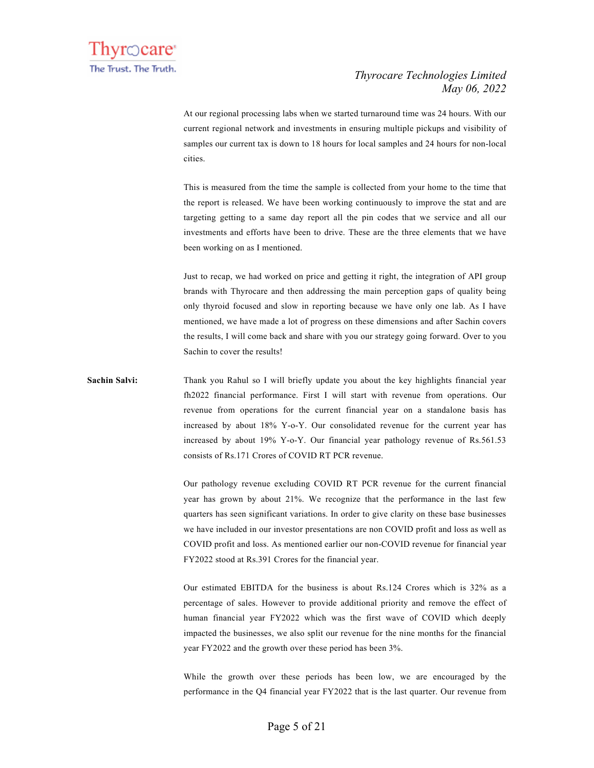At our regional processing labs when we started turnaround time was 24 hours. With our current regional network and investments in ensuring multiple pickups and visibility of samples our current tax is down to 18 hours for local samples and 24 hours for non-local cities.

This is measured from the time the sample is collected from your home to the time that the report is released. We have been working continuously to improve the stat and are targeting getting to a same day report all the pin codes that we service and all our investments and efforts have been to drive. These are the three elements that we have been working on as I mentioned.

Just to recap, we had worked on price and getting it right, the integration of API group brands with Thyrocare and then addressing the main perception gaps of quality being only thyroid focused and slow in reporting because we have only one lab. As I have mentioned, we have made a lot of progress on these dimensions and after Sachin covers the results, I will come back and share with you our strategy going forward. Over to you Sachin to cover the results!

## **Sachin Salvi:** Thank you Rahul so I will briefly update you about the key highlights financial year fh2022 financial performance. First I will start with revenue from operations. Our revenue from operations for the current financial year on a standalone basis has increased by about 18% Y-o-Y. Our consolidated revenue for the current year has increased by about 19% Y-o-Y. Our financial year pathology revenue of Rs.561.53 consists of Rs.171 Crores of COVID RT PCR revenue.

Our pathology revenue excluding COVID RT PCR revenue for the current financial year has grown by about 21%. We recognize that the performance in the last few quarters has seen significant variations. In order to give clarity on these base businesses we have included in our investor presentations are non COVID profit and loss as well as COVID profit and loss. As mentioned earlier our non-COVID revenue for financial year FY2022 stood at Rs.391 Crores for the financial year.

Our estimated EBITDA for the business is about Rs.124 Crores which is 32% as a percentage of sales. However to provide additional priority and remove the effect of human financial year FY2022 which was the first wave of COVID which deeply impacted the businesses, we also split our revenue for the nine months for the financial year FY2022 and the growth over these period has been 3%.

While the growth over these periods has been low, we are encouraged by the performance in the Q4 financial year FY2022 that is the last quarter. Our revenue from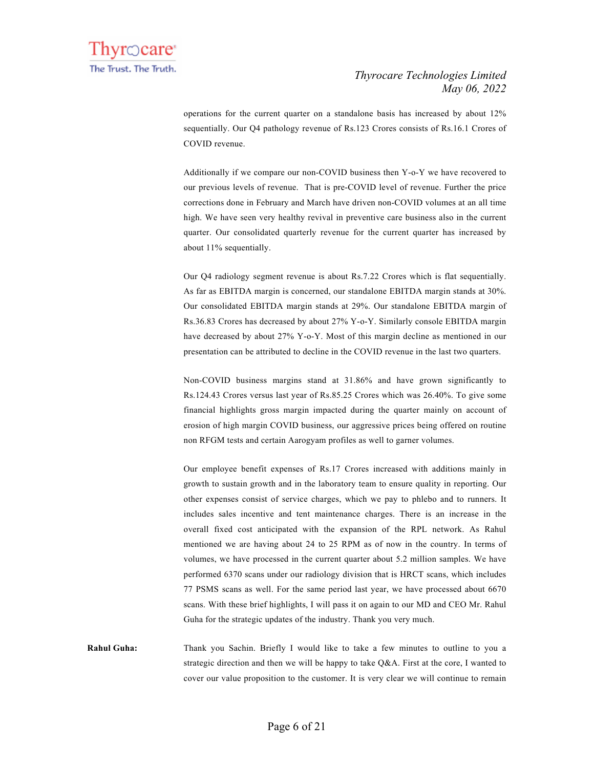operations for the current quarter on a standalone basis has increased by about 12% sequentially. Our Q4 pathology revenue of Rs.123 Crores consists of Rs.16.1 Crores of COVID revenue.

Additionally if we compare our non-COVID business then Y-o-Y we have recovered to our previous levels of revenue. That is pre-COVID level of revenue. Further the price corrections done in February and March have driven non-COVID volumes at an all time high. We have seen very healthy revival in preventive care business also in the current quarter. Our consolidated quarterly revenue for the current quarter has increased by about 11% sequentially.

Our Q4 radiology segment revenue is about Rs.7.22 Crores which is flat sequentially. As far as EBITDA margin is concerned, our standalone EBITDA margin stands at 30%. Our consolidated EBITDA margin stands at 29%. Our standalone EBITDA margin of Rs.36.83 Crores has decreased by about 27% Y-o-Y. Similarly console EBITDA margin have decreased by about 27% Y-o-Y. Most of this margin decline as mentioned in our presentation can be attributed to decline in the COVID revenue in the last two quarters.

Non-COVID business margins stand at 31.86% and have grown significantly to Rs.124.43 Crores versus last year of Rs.85.25 Crores which was 26.40%. To give some financial highlights gross margin impacted during the quarter mainly on account of erosion of high margin COVID business, our aggressive prices being offered on routine non RFGM tests and certain Aarogyam profiles as well to garner volumes.

Our employee benefit expenses of Rs.17 Crores increased with additions mainly in growth to sustain growth and in the laboratory team to ensure quality in reporting. Our other expenses consist of service charges, which we pay to phlebo and to runners. It includes sales incentive and tent maintenance charges. There is an increase in the overall fixed cost anticipated with the expansion of the RPL network. As Rahul mentioned we are having about 24 to 25 RPM as of now in the country. In terms of volumes, we have processed in the current quarter about 5.2 million samples. We have performed 6370 scans under our radiology division that is HRCT scans, which includes 77 PSMS scans as well. For the same period last year, we have processed about 6670 scans. With these brief highlights, I will pass it on again to our MD and CEO Mr. Rahul Guha for the strategic updates of the industry. Thank you very much.

**Rahul Guha:** Thank you Sachin. Briefly I would like to take a few minutes to outline to you a strategic direction and then we will be happy to take Q&A. First at the core, I wanted to cover our value proposition to the customer. It is very clear we will continue to remain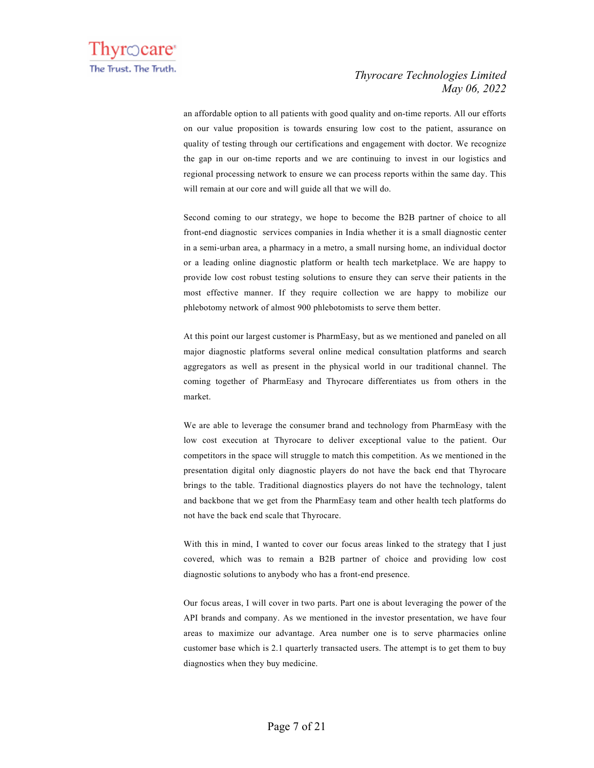an affordable option to all patients with good quality and on-time reports. All our efforts on our value proposition is towards ensuring low cost to the patient, assurance on quality of testing through our certifications and engagement with doctor. We recognize the gap in our on-time reports and we are continuing to invest in our logistics and regional processing network to ensure we can process reports within the same day. This will remain at our core and will guide all that we will do.

Second coming to our strategy, we hope to become the B2B partner of choice to all front-end diagnostic services companies in India whether it is a small diagnostic center in a semi-urban area, a pharmacy in a metro, a small nursing home, an individual doctor or a leading online diagnostic platform or health tech marketplace. We are happy to provide low cost robust testing solutions to ensure they can serve their patients in the most effective manner. If they require collection we are happy to mobilize our phlebotomy network of almost 900 phlebotomists to serve them better.

At this point our largest customer is PharmEasy, but as we mentioned and paneled on all major diagnostic platforms several online medical consultation platforms and search aggregators as well as present in the physical world in our traditional channel. The coming together of PharmEasy and Thyrocare differentiates us from others in the market.

We are able to leverage the consumer brand and technology from PharmEasy with the low cost execution at Thyrocare to deliver exceptional value to the patient. Our competitors in the space will struggle to match this competition. As we mentioned in the presentation digital only diagnostic players do not have the back end that Thyrocare brings to the table. Traditional diagnostics players do not have the technology, talent and backbone that we get from the PharmEasy team and other health tech platforms do not have the back end scale that Thyrocare.

With this in mind, I wanted to cover our focus areas linked to the strategy that I just covered, which was to remain a B2B partner of choice and providing low cost diagnostic solutions to anybody who has a front-end presence.

Our focus areas, I will cover in two parts. Part one is about leveraging the power of the API brands and company. As we mentioned in the investor presentation, we have four areas to maximize our advantage. Area number one is to serve pharmacies online customer base which is 2.1 quarterly transacted users. The attempt is to get them to buy diagnostics when they buy medicine.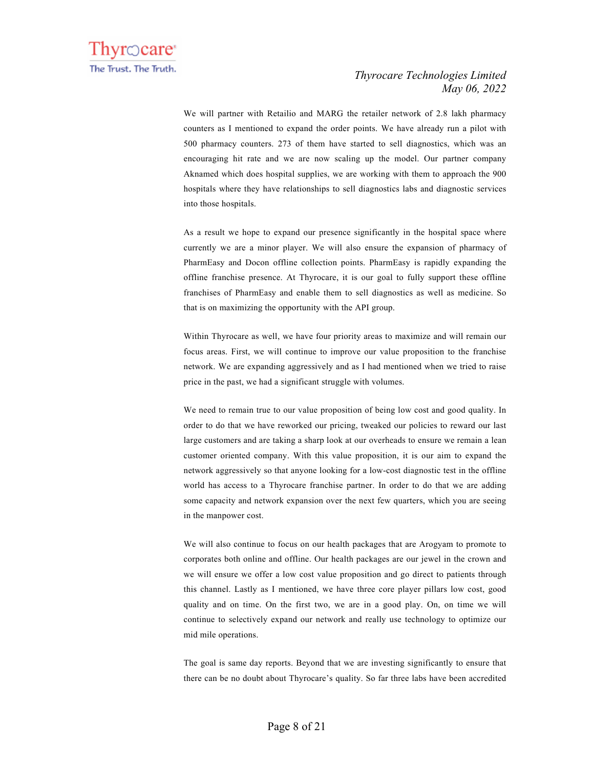We will partner with Retailio and MARG the retailer network of 2.8 lakh pharmacy counters as I mentioned to expand the order points. We have already run a pilot with 500 pharmacy counters. 273 of them have started to sell diagnostics, which was an encouraging hit rate and we are now scaling up the model. Our partner company Aknamed which does hospital supplies, we are working with them to approach the 900 hospitals where they have relationships to sell diagnostics labs and diagnostic services into those hospitals.

As a result we hope to expand our presence significantly in the hospital space where currently we are a minor player. We will also ensure the expansion of pharmacy of PharmEasy and Docon offline collection points. PharmEasy is rapidly expanding the offline franchise presence. At Thyrocare, it is our goal to fully support these offline franchises of PharmEasy and enable them to sell diagnostics as well as medicine. So that is on maximizing the opportunity with the API group.

Within Thyrocare as well, we have four priority areas to maximize and will remain our focus areas. First, we will continue to improve our value proposition to the franchise network. We are expanding aggressively and as I had mentioned when we tried to raise price in the past, we had a significant struggle with volumes.

We need to remain true to our value proposition of being low cost and good quality. In order to do that we have reworked our pricing, tweaked our policies to reward our last large customers and are taking a sharp look at our overheads to ensure we remain a lean customer oriented company. With this value proposition, it is our aim to expand the network aggressively so that anyone looking for a low-cost diagnostic test in the offline world has access to a Thyrocare franchise partner. In order to do that we are adding some capacity and network expansion over the next few quarters, which you are seeing in the manpower cost.

We will also continue to focus on our health packages that are Arogyam to promote to corporates both online and offline. Our health packages are our jewel in the crown and we will ensure we offer a low cost value proposition and go direct to patients through this channel. Lastly as I mentioned, we have three core player pillars low cost, good quality and on time. On the first two, we are in a good play. On, on time we will continue to selectively expand our network and really use technology to optimize our mid mile operations.

The goal is same day reports. Beyond that we are investing significantly to ensure that there can be no doubt about Thyrocare's quality. So far three labs have been accredited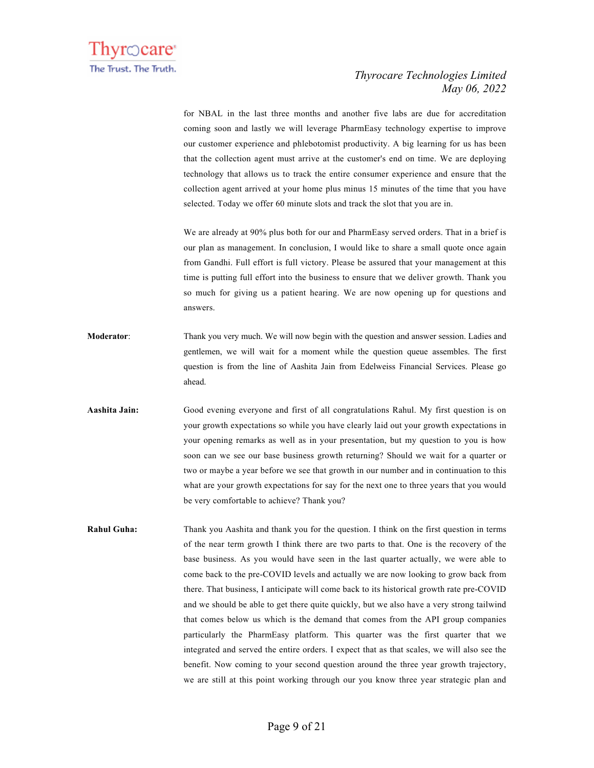

for NBAL in the last three months and another five labs are due for accreditation coming soon and lastly we will leverage PharmEasy technology expertise to improve our customer experience and phlebotomist productivity. A big learning for us has been that the collection agent must arrive at the customer's end on time. We are deploying technology that allows us to track the entire consumer experience and ensure that the collection agent arrived at your home plus minus 15 minutes of the time that you have selected. Today we offer 60 minute slots and track the slot that you are in.

We are already at 90% plus both for our and PharmEasy served orders. That in a brief is our plan as management. In conclusion, I would like to share a small quote once again from Gandhi. Full effort is full victory. Please be assured that your management at this time is putting full effort into the business to ensure that we deliver growth. Thank you so much for giving us a patient hearing. We are now opening up for questions and answers.

- **Moderator**: Thank you very much. We will now begin with the question and answer session. Ladies and gentlemen, we will wait for a moment while the question queue assembles. The first question is from the line of Aashita Jain from Edelweiss Financial Services. Please go ahead.
- **Aashita Jain:** Good evening everyone and first of all congratulations Rahul. My first question is on your growth expectations so while you have clearly laid out your growth expectations in your opening remarks as well as in your presentation, but my question to you is how soon can we see our base business growth returning? Should we wait for a quarter or two or maybe a year before we see that growth in our number and in continuation to this what are your growth expectations for say for the next one to three years that you would be very comfortable to achieve? Thank you?
- **Rahul Guha:** Thank you Aashita and thank you for the question. I think on the first question in terms of the near term growth I think there are two parts to that. One is the recovery of the base business. As you would have seen in the last quarter actually, we were able to come back to the pre-COVID levels and actually we are now looking to grow back from there. That business, I anticipate will come back to its historical growth rate pre-COVID and we should be able to get there quite quickly, but we also have a very strong tailwind that comes below us which is the demand that comes from the API group companies particularly the PharmEasy platform. This quarter was the first quarter that we integrated and served the entire orders. I expect that as that scales, we will also see the benefit. Now coming to your second question around the three year growth trajectory, we are still at this point working through our you know three year strategic plan and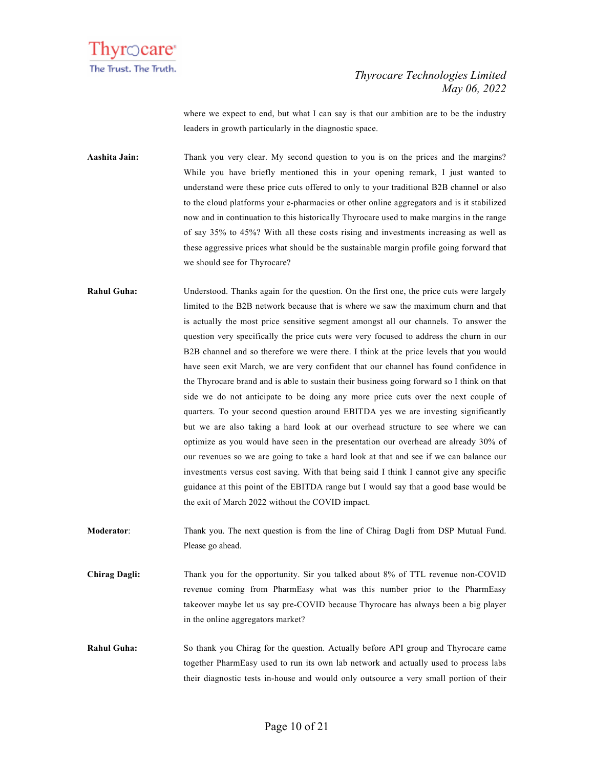

where we expect to end, but what I can say is that our ambition are to be the industry leaders in growth particularly in the diagnostic space.

**Aashita Jain:** Thank you very clear. My second question to you is on the prices and the margins? While you have briefly mentioned this in your opening remark, I just wanted to understand were these price cuts offered to only to your traditional B2B channel or also to the cloud platforms your e-pharmacies or other online aggregators and is it stabilized now and in continuation to this historically Thyrocare used to make margins in the range of say 35% to 45%? With all these costs rising and investments increasing as well as these aggressive prices what should be the sustainable margin profile going forward that we should see for Thyrocare?

**Rahul Guha:** Understood. Thanks again for the question. On the first one, the price cuts were largely limited to the B2B network because that is where we saw the maximum churn and that is actually the most price sensitive segment amongst all our channels. To answer the question very specifically the price cuts were very focused to address the churn in our B2B channel and so therefore we were there. I think at the price levels that you would have seen exit March, we are very confident that our channel has found confidence in the Thyrocare brand and is able to sustain their business going forward so I think on that side we do not anticipate to be doing any more price cuts over the next couple of quarters. To your second question around EBITDA yes we are investing significantly but we are also taking a hard look at our overhead structure to see where we can optimize as you would have seen in the presentation our overhead are already 30% of our revenues so we are going to take a hard look at that and see if we can balance our investments versus cost saving. With that being said I think I cannot give any specific guidance at this point of the EBITDA range but I would say that a good base would be the exit of March 2022 without the COVID impact.

**Moderator**: Thank you. The next question is from the line of Chirag Dagli from DSP Mutual Fund. Please go ahead.

**Chirag Dagli:** Thank you for the opportunity. Sir you talked about 8% of TTL revenue non-COVID revenue coming from PharmEasy what was this number prior to the PharmEasy takeover maybe let us say pre-COVID because Thyrocare has always been a big player in the online aggregators market?

**Rahul Guha:** So thank you Chirag for the question. Actually before API group and Thyrocare came together PharmEasy used to run its own lab network and actually used to process labs their diagnostic tests in-house and would only outsource a very small portion of their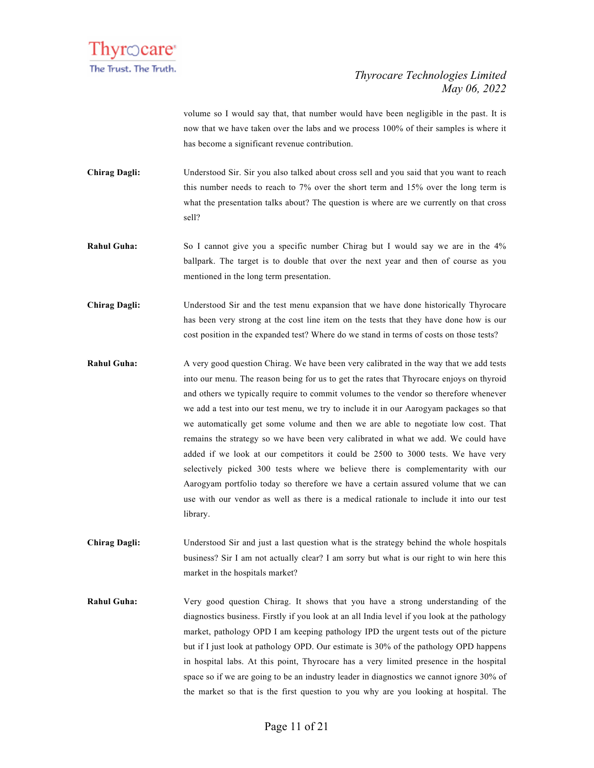

volume so I would say that, that number would have been negligible in the past. It is now that we have taken over the labs and we process 100% of their samples is where it has become a significant revenue contribution.

**Chirag Dagli:** Understood Sir. Sir you also talked about cross sell and you said that you want to reach this number needs to reach to 7% over the short term and 15% over the long term is what the presentation talks about? The question is where are we currently on that cross sell?

**Rahul Guha:** So I cannot give you a specific number Chirag but I would say we are in the 4% ballpark. The target is to double that over the next year and then of course as you mentioned in the long term presentation.

**Chirag Dagli:** Understood Sir and the test menu expansion that we have done historically Thyrocare has been very strong at the cost line item on the tests that they have done how is our cost position in the expanded test? Where do we stand in terms of costs on those tests?

**Rahul Guha:** A very good question Chirag. We have been very calibrated in the way that we add tests into our menu. The reason being for us to get the rates that Thyrocare enjoys on thyroid and others we typically require to commit volumes to the vendor so therefore whenever we add a test into our test menu, we try to include it in our Aarogyam packages so that we automatically get some volume and then we are able to negotiate low cost. That remains the strategy so we have been very calibrated in what we add. We could have added if we look at our competitors it could be 2500 to 3000 tests. We have very selectively picked 300 tests where we believe there is complementarity with our Aarogyam portfolio today so therefore we have a certain assured volume that we can use with our vendor as well as there is a medical rationale to include it into our test library.

**Chirag Dagli:** Understood Sir and just a last question what is the strategy behind the whole hospitals business? Sir I am not actually clear? I am sorry but what is our right to win here this market in the hospitals market?

**Rahul Guha:** Very good question Chirag. It shows that you have a strong understanding of the diagnostics business. Firstly if you look at an all India level if you look at the pathology market, pathology OPD I am keeping pathology IPD the urgent tests out of the picture but if I just look at pathology OPD. Our estimate is 30% of the pathology OPD happens in hospital labs. At this point, Thyrocare has a very limited presence in the hospital space so if we are going to be an industry leader in diagnostics we cannot ignore 30% of the market so that is the first question to you why are you looking at hospital. The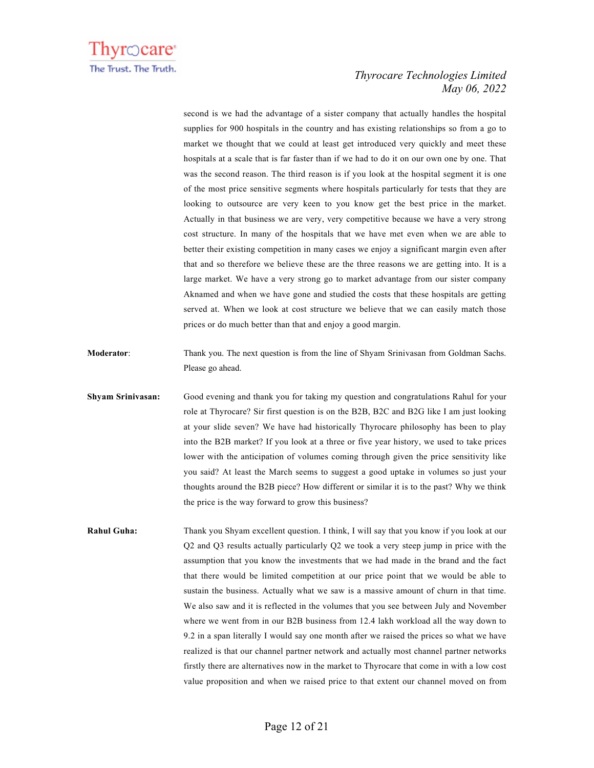

second is we had the advantage of a sister company that actually handles the hospital supplies for 900 hospitals in the country and has existing relationships so from a go to market we thought that we could at least get introduced very quickly and meet these hospitals at a scale that is far faster than if we had to do it on our own one by one. That was the second reason. The third reason is if you look at the hospital segment it is one of the most price sensitive segments where hospitals particularly for tests that they are looking to outsource are very keen to you know get the best price in the market. Actually in that business we are very, very competitive because we have a very strong cost structure. In many of the hospitals that we have met even when we are able to better their existing competition in many cases we enjoy a significant margin even after that and so therefore we believe these are the three reasons we are getting into. It is a large market. We have a very strong go to market advantage from our sister company Aknamed and when we have gone and studied the costs that these hospitals are getting served at. When we look at cost structure we believe that we can easily match those prices or do much better than that and enjoy a good margin.

- **Moderator**: Thank you. The next question is from the line of Shyam Srinivasan from Goldman Sachs. Please go ahead.
- **Shyam Srinivasan:** Good evening and thank you for taking my question and congratulations Rahul for your role at Thyrocare? Sir first question is on the B2B, B2C and B2G like I am just looking at your slide seven? We have had historically Thyrocare philosophy has been to play into the B2B market? If you look at a three or five year history, we used to take prices lower with the anticipation of volumes coming through given the price sensitivity like you said? At least the March seems to suggest a good uptake in volumes so just your thoughts around the B2B piece? How different or similar it is to the past? Why we think the price is the way forward to grow this business?
- **Rahul Guha:** Thank you Shyam excellent question. I think, I will say that you know if you look at our Q2 and Q3 results actually particularly Q2 we took a very steep jump in price with the assumption that you know the investments that we had made in the brand and the fact that there would be limited competition at our price point that we would be able to sustain the business. Actually what we saw is a massive amount of churn in that time. We also saw and it is reflected in the volumes that you see between July and November where we went from in our B2B business from 12.4 lakh workload all the way down to 9.2 in a span literally I would say one month after we raised the prices so what we have realized is that our channel partner network and actually most channel partner networks firstly there are alternatives now in the market to Thyrocare that come in with a low cost value proposition and when we raised price to that extent our channel moved on from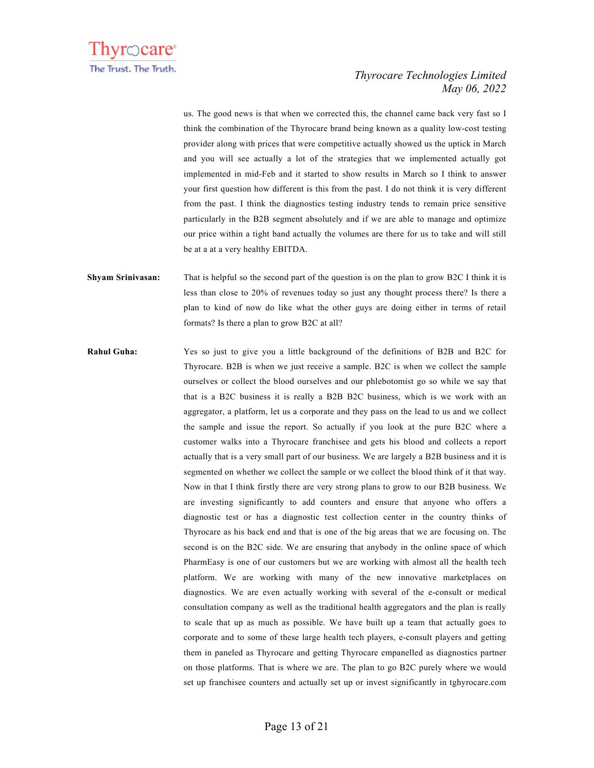

us. The good news is that when we corrected this, the channel came back very fast so I think the combination of the Thyrocare brand being known as a quality low-cost testing provider along with prices that were competitive actually showed us the uptick in March and you will see actually a lot of the strategies that we implemented actually got implemented in mid-Feb and it started to show results in March so I think to answer your first question how different is this from the past. I do not think it is very different from the past. I think the diagnostics testing industry tends to remain price sensitive particularly in the B2B segment absolutely and if we are able to manage and optimize our price within a tight band actually the volumes are there for us to take and will still be at a at a very healthy EBITDA.

- **Shyam Srinivasan:** That is helpful so the second part of the question is on the plan to grow B2C I think it is less than close to 20% of revenues today so just any thought process there? Is there a plan to kind of now do like what the other guys are doing either in terms of retail formats? Is there a plan to grow B2C at all?
- **Rahul Guha:** Yes so just to give you a little background of the definitions of B2B and B2C for Thyrocare. B2B is when we just receive a sample. B2C is when we collect the sample ourselves or collect the blood ourselves and our phlebotomist go so while we say that that is a B2C business it is really a B2B B2C business, which is we work with an aggregator, a platform, let us a corporate and they pass on the lead to us and we collect the sample and issue the report. So actually if you look at the pure B2C where a customer walks into a Thyrocare franchisee and gets his blood and collects a report actually that is a very small part of our business. We are largely a B2B business and it is segmented on whether we collect the sample or we collect the blood think of it that way. Now in that I think firstly there are very strong plans to grow to our B2B business. We are investing significantly to add counters and ensure that anyone who offers a diagnostic test or has a diagnostic test collection center in the country thinks of Thyrocare as his back end and that is one of the big areas that we are focusing on. The second is on the B2C side. We are ensuring that anybody in the online space of which PharmEasy is one of our customers but we are working with almost all the health tech platform. We are working with many of the new innovative marketplaces on diagnostics. We are even actually working with several of the e-consult or medical consultation company as well as the traditional health aggregators and the plan is really to scale that up as much as possible. We have built up a team that actually goes to corporate and to some of these large health tech players, e-consult players and getting them in paneled as Thyrocare and getting Thyrocare empanelled as diagnostics partner on those platforms. That is where we are. The plan to go B2C purely where we would set up franchisee counters and actually set up or invest significantly in tghyrocare.com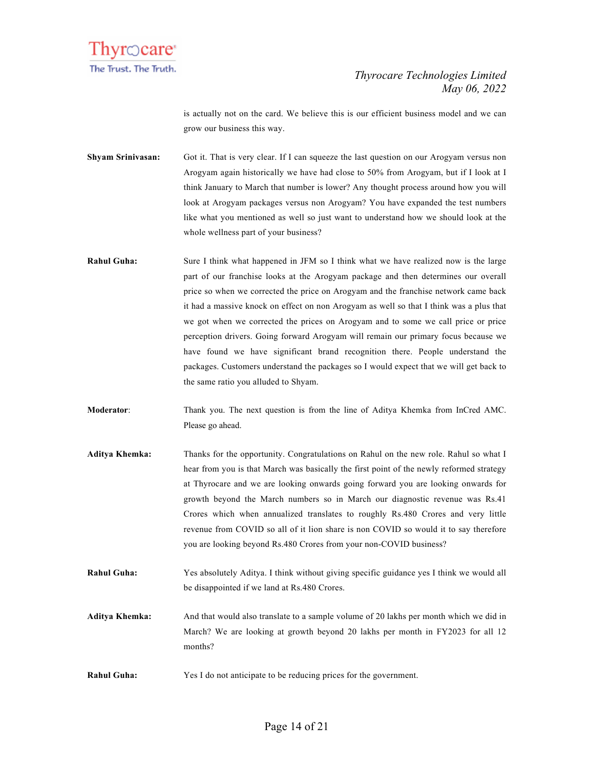

is actually not on the card. We believe this is our efficient business model and we can grow our business this way.

- **Shyam Srinivasan:** Got it. That is very clear. If I can squeeze the last question on our Arogyam versus non Arogyam again historically we have had close to 50% from Arogyam, but if I look at I think January to March that number is lower? Any thought process around how you will look at Arogyam packages versus non Arogyam? You have expanded the test numbers like what you mentioned as well so just want to understand how we should look at the whole wellness part of your business?
- **Rahul Guha:** Sure I think what happened in JFM so I think what we have realized now is the large part of our franchise looks at the Arogyam package and then determines our overall price so when we corrected the price on Arogyam and the franchise network came back it had a massive knock on effect on non Arogyam as well so that I think was a plus that we got when we corrected the prices on Arogyam and to some we call price or price perception drivers. Going forward Arogyam will remain our primary focus because we have found we have significant brand recognition there. People understand the packages. Customers understand the packages so I would expect that we will get back to the same ratio you alluded to Shyam.
- **Moderator**: Thank you. The next question is from the line of Aditya Khemka from InCred AMC. Please go ahead.
- **Aditya Khemka:** Thanks for the opportunity. Congratulations on Rahul on the new role. Rahul so what I hear from you is that March was basically the first point of the newly reformed strategy at Thyrocare and we are looking onwards going forward you are looking onwards for growth beyond the March numbers so in March our diagnostic revenue was Rs.41 Crores which when annualized translates to roughly Rs.480 Crores and very little revenue from COVID so all of it lion share is non COVID so would it to say therefore you are looking beyond Rs.480 Crores from your non-COVID business?
- **Rahul Guha:** Yes absolutely Aditya. I think without giving specific guidance yes I think we would all be disappointed if we land at Rs.480 Crores.
- **Aditya Khemka:** And that would also translate to a sample volume of 20 lakhs per month which we did in March? We are looking at growth beyond 20 lakhs per month in FY2023 for all 12 months?
- **Rahul Guha:** Yes I do not anticipate to be reducing prices for the government.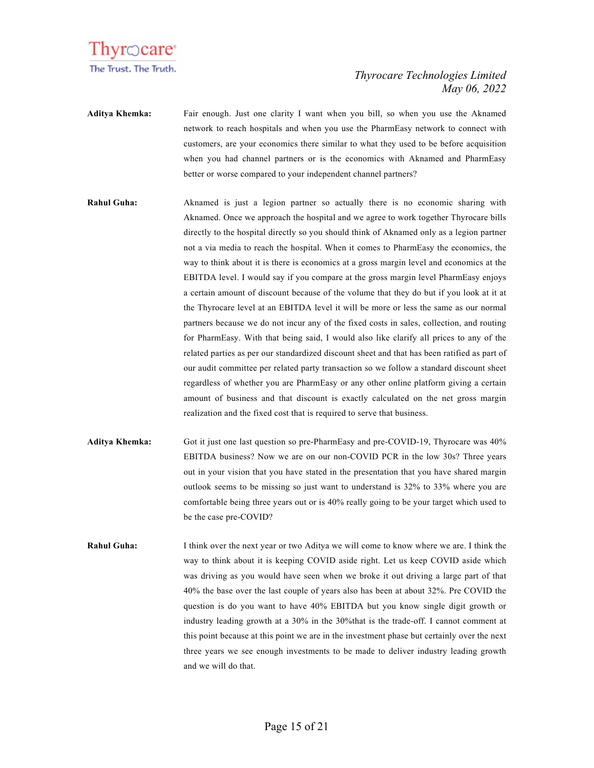

**Aditya Khemka:** Fair enough. Just one clarity I want when you bill, so when you use the Aknamed network to reach hospitals and when you use the PharmEasy network to connect with customers, are your economics there similar to what they used to be before acquisition when you had channel partners or is the economics with Aknamed and PharmEasy better or worse compared to your independent channel partners?

- **Rahul Guha:** Aknamed is just a legion partner so actually there is no economic sharing with Aknamed. Once we approach the hospital and we agree to work together Thyrocare bills directly to the hospital directly so you should think of Aknamed only as a legion partner not a via media to reach the hospital. When it comes to PharmEasy the economics, the way to think about it is there is economics at a gross margin level and economics at the EBITDA level. I would say if you compare at the gross margin level PharmEasy enjoys a certain amount of discount because of the volume that they do but if you look at it at the Thyrocare level at an EBITDA level it will be more or less the same as our normal partners because we do not incur any of the fixed costs in sales, collection, and routing for PharmEasy. With that being said, I would also like clarify all prices to any of the related parties as per our standardized discount sheet and that has been ratified as part of our audit committee per related party transaction so we follow a standard discount sheet regardless of whether you are PharmEasy or any other online platform giving a certain amount of business and that discount is exactly calculated on the net gross margin realization and the fixed cost that is required to serve that business.
- **Aditya Khemka:** Got it just one last question so pre-PharmEasy and pre-COVID-19, Thyrocare was 40% EBITDA business? Now we are on our non-COVID PCR in the low 30s? Three years out in your vision that you have stated in the presentation that you have shared margin outlook seems to be missing so just want to understand is 32% to 33% where you are comfortable being three years out or is 40% really going to be your target which used to be the case pre-COVID?
- **Rahul Guha:** I think over the next year or two Aditya we will come to know where we are. I think the way to think about it is keeping COVID aside right. Let us keep COVID aside which was driving as you would have seen when we broke it out driving a large part of that 40% the base over the last couple of years also has been at about 32%. Pre COVID the question is do you want to have 40% EBITDA but you know single digit growth or industry leading growth at a 30% in the 30%that is the trade-off. I cannot comment at this point because at this point we are in the investment phase but certainly over the next three years we see enough investments to be made to deliver industry leading growth and we will do that.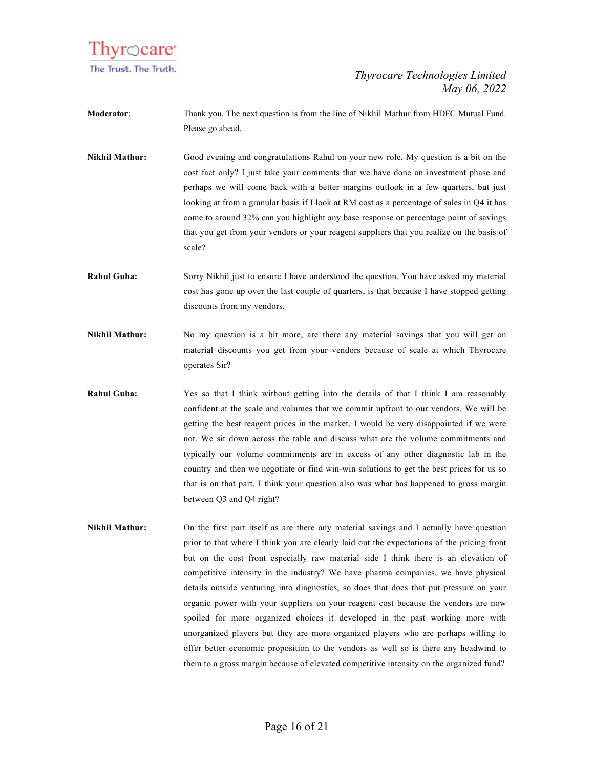

- **Moderator**: Thank you. The next question is from the line of Nikhil Mathur from HDFC Mutual Fund. Please go ahead.
- **Nikhil Mathur:** Good evening and congratulations Rahul on your new role. My question is a bit on the cost fact only? I just take your comments that we have done an investment phase and perhaps we will come back with a better margins outlook in a few quarters, but just looking at from a granular basis if I look at RM cost as a percentage of sales in Q4 it has come to around 32% can you highlight any base response or percentage point of savings that you get from your vendors or your reagent suppliers that you realize on the basis of scale?
- **Rahul Guha:** Sorry Nikhil just to ensure I have understood the question. You have asked my material cost has gone up over the last couple of quarters, is that because I have stopped getting discounts from my vendors.
- **Nikhil Mathur:** No my question is a bit more, are there any material savings that you will get on material discounts you get from your vendors because of scale at which Thyrocare operates Sir?
- **Rahul Guha:** Yes so that I think without getting into the details of that I think I am reasonably confident at the scale and volumes that we commit upfront to our vendors. We will be getting the best reagent prices in the market. I would be very disappointed if we were not. We sit down across the table and discuss what are the volume commitments and typically our volume commitments are in excess of any other diagnostic lab in the country and then we negotiate or find win-win solutions to get the best prices for us so that is on that part. I think your question also was what has happened to gross margin between Q3 and Q4 right?
- **Nikhil Mathur:** On the first part itself as are there any material savings and I actually have question prior to that where I think you are clearly laid out the expectations of the pricing front but on the cost front especially raw material side I think there is an elevation of competitive intensity in the industry? We have pharma companies, we have physical details outside venturing into diagnostics, so does that does that put pressure on your organic power with your suppliers on your reagent cost because the vendors are now spoiled for more organized choices it developed in the past working more with unorganized players but they are more organized players who are perhaps willing to offer better economic proposition to the vendors as well so is there any headwind to them to a gross margin because of elevated competitive intensity on the organized fund?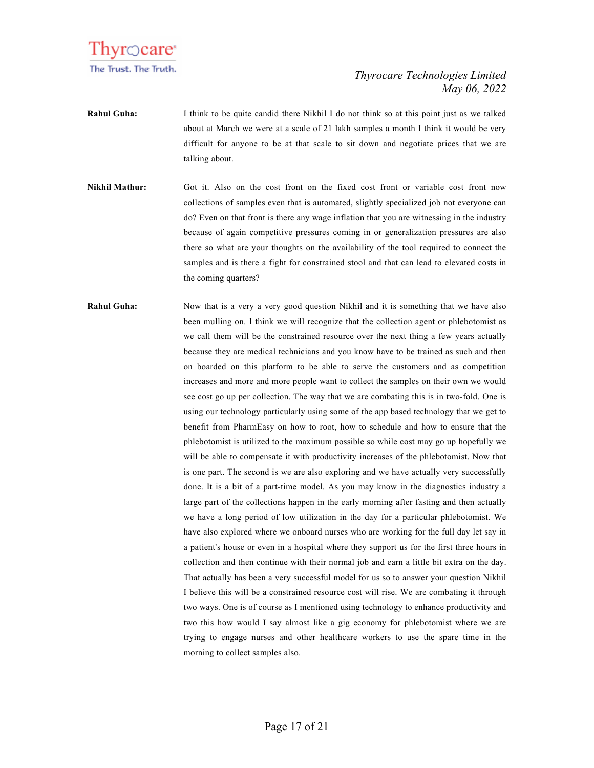

- **Rahul Guha:** I think to be quite candid there Nikhil I do not think so at this point just as we talked about at March we were at a scale of 21 lakh samples a month I think it would be very difficult for anyone to be at that scale to sit down and negotiate prices that we are talking about.
- **Nikhil Mathur:** Got it. Also on the cost front on the fixed cost front or variable cost front now collections of samples even that is automated, slightly specialized job not everyone can do? Even on that front is there any wage inflation that you are witnessing in the industry because of again competitive pressures coming in or generalization pressures are also there so what are your thoughts on the availability of the tool required to connect the samples and is there a fight for constrained stool and that can lead to elevated costs in the coming quarters?
- **Rahul Guha:** Now that is a very a very good question Nikhil and it is something that we have also been mulling on. I think we will recognize that the collection agent or phlebotomist as we call them will be the constrained resource over the next thing a few years actually because they are medical technicians and you know have to be trained as such and then on boarded on this platform to be able to serve the customers and as competition increases and more and more people want to collect the samples on their own we would see cost go up per collection. The way that we are combating this is in two-fold. One is using our technology particularly using some of the app based technology that we get to benefit from PharmEasy on how to root, how to schedule and how to ensure that the phlebotomist is utilized to the maximum possible so while cost may go up hopefully we will be able to compensate it with productivity increases of the phlebotomist. Now that is one part. The second is we are also exploring and we have actually very successfully done. It is a bit of a part-time model. As you may know in the diagnostics industry a large part of the collections happen in the early morning after fasting and then actually we have a long period of low utilization in the day for a particular phlebotomist. We have also explored where we onboard nurses who are working for the full day let say in a patient's house or even in a hospital where they support us for the first three hours in collection and then continue with their normal job and earn a little bit extra on the day. That actually has been a very successful model for us so to answer your question Nikhil I believe this will be a constrained resource cost will rise. We are combating it through two ways. One is of course as I mentioned using technology to enhance productivity and two this how would I say almost like a gig economy for phlebotomist where we are trying to engage nurses and other healthcare workers to use the spare time in the morning to collect samples also.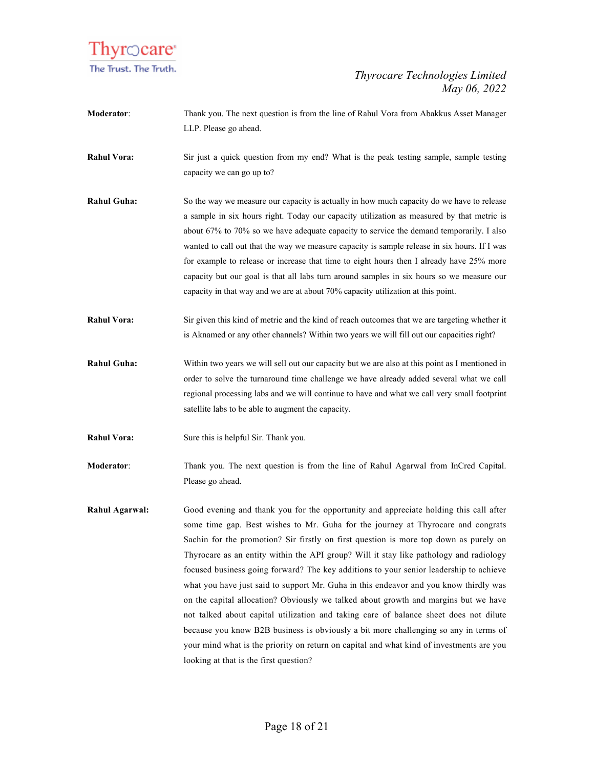

- **Moderator**: Thank you. The next question is from the line of Rahul Vora from Abakkus Asset Manager LLP. Please go ahead.
- **Rahul Vora:** Sir just a quick question from my end? What is the peak testing sample, sample testing capacity we can go up to?
- **Rahul Guha:** So the way we measure our capacity is actually in how much capacity do we have to release a sample in six hours right. Today our capacity utilization as measured by that metric is about 67% to 70% so we have adequate capacity to service the demand temporarily. I also wanted to call out that the way we measure capacity is sample release in six hours. If I was for example to release or increase that time to eight hours then I already have 25% more capacity but our goal is that all labs turn around samples in six hours so we measure our capacity in that way and we are at about 70% capacity utilization at this point.
- **Rahul Vora:** Sir given this kind of metric and the kind of reach outcomes that we are targeting whether it is Aknamed or any other channels? Within two years we will fill out our capacities right?
- **Rahul Guha:** Within two years we will sell out our capacity but we are also at this point as I mentioned in order to solve the turnaround time challenge we have already added several what we call regional processing labs and we will continue to have and what we call very small footprint satellite labs to be able to augment the capacity.
- **Rahul Vora:** Sure this is helpful Sir. Thank you.
- **Moderator:** Thank you. The next question is from the line of Rahul Agarwal from InCred Capital. Please go ahead.
- **Rahul Agarwal:** Good evening and thank you for the opportunity and appreciate holding this call after some time gap. Best wishes to Mr. Guha for the journey at Thyrocare and congrats Sachin for the promotion? Sir firstly on first question is more top down as purely on Thyrocare as an entity within the API group? Will it stay like pathology and radiology focused business going forward? The key additions to your senior leadership to achieve what you have just said to support Mr. Guha in this endeavor and you know thirdly was on the capital allocation? Obviously we talked about growth and margins but we have not talked about capital utilization and taking care of balance sheet does not dilute because you know B2B business is obviously a bit more challenging so any in terms of your mind what is the priority on return on capital and what kind of investments are you looking at that is the first question?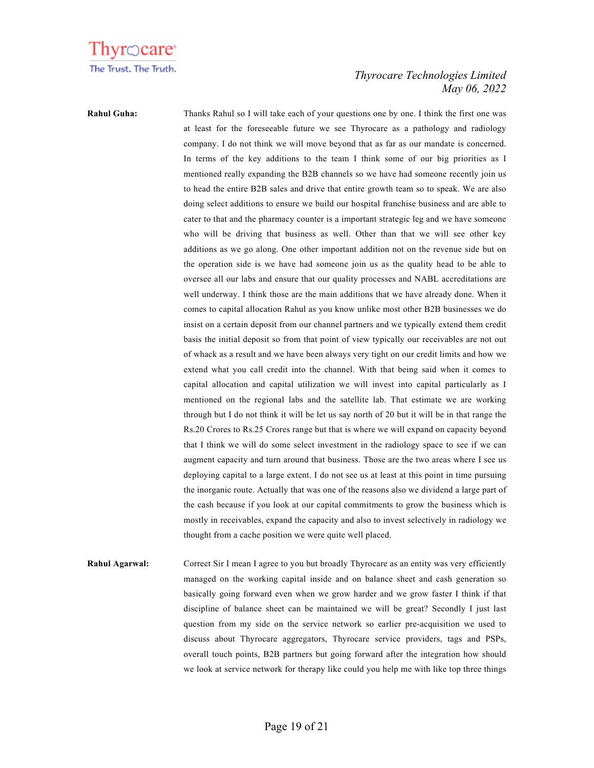

**Rahul Guha:** Thanks Rahul so I will take each of your questions one by one. I think the first one was at least for the foreseeable future we see Thyrocare as a pathology and radiology company. I do not think we will move beyond that as far as our mandate is concerned. In terms of the key additions to the team I think some of our big priorities as I mentioned really expanding the B2B channels so we have had someone recently join us to head the entire B2B sales and drive that entire growth team so to speak. We are also doing select additions to ensure we build our hospital franchise business and are able to cater to that and the pharmacy counter is a important strategic leg and we have someone who will be driving that business as well. Other than that we will see other key additions as we go along. One other important addition not on the revenue side but on the operation side is we have had someone join us as the quality head to be able to oversee all our labs and ensure that our quality processes and NABL accreditations are well underway. I think those are the main additions that we have already done. When it comes to capital allocation Rahul as you know unlike most other B2B businesses we do insist on a certain deposit from our channel partners and we typically extend them credit basis the initial deposit so from that point of view typically our receivables are not out of whack as a result and we have been always very tight on our credit limits and how we extend what you call credit into the channel. With that being said when it comes to capital allocation and capital utilization we will invest into capital particularly as I mentioned on the regional labs and the satellite lab. That estimate we are working through but I do not think it will be let us say north of 20 but it will be in that range the Rs.20 Crores to Rs.25 Crores range but that is where we will expand on capacity beyond that I think we will do some select investment in the radiology space to see if we can augment capacity and turn around that business. Those are the two areas where I see us deploying capital to a large extent. I do not see us at least at this point in time pursuing the inorganic route. Actually that was one of the reasons also we dividend a large part of the cash because if you look at our capital commitments to grow the business which is mostly in receivables, expand the capacity and also to invest selectively in radiology we thought from a cache position we were quite well placed.

**Rahul Agarwal:** Correct Sir I mean I agree to you but broadly Thyrocare as an entity was very efficiently managed on the working capital inside and on balance sheet and cash generation so basically going forward even when we grow harder and we grow faster I think if that discipline of balance sheet can be maintained we will be great? Secondly I just last question from my side on the service network so earlier pre-acquisition we used to discuss about Thyrocare aggregators, Thyrocare service providers, tags and PSPs, overall touch points, B2B partners but going forward after the integration how should we look at service network for therapy like could you help me with like top three things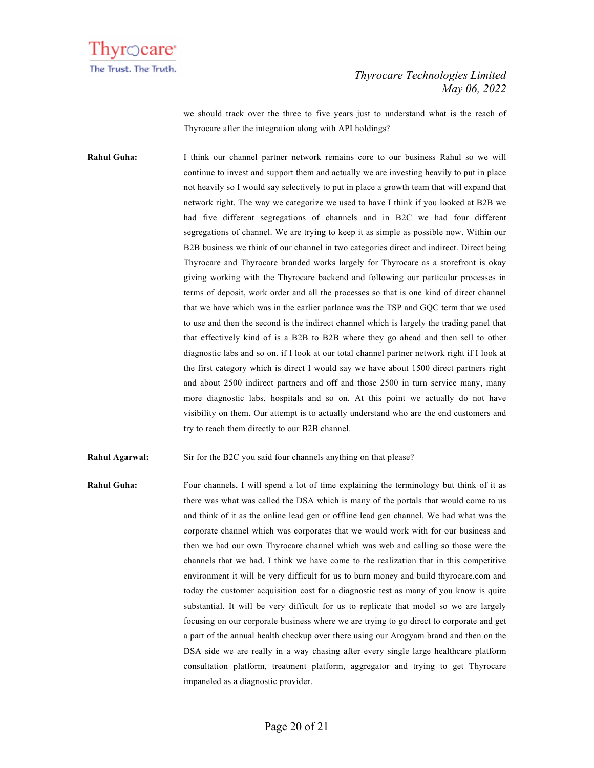

we should track over the three to five years just to understand what is the reach of Thyrocare after the integration along with API holdings?

**Rahul Guha:** I think our channel partner network remains core to our business Rahul so we will continue to invest and support them and actually we are investing heavily to put in place not heavily so I would say selectively to put in place a growth team that will expand that network right. The way we categorize we used to have I think if you looked at B2B we had five different segregations of channels and in B2C we had four different segregations of channel. We are trying to keep it as simple as possible now. Within our B2B business we think of our channel in two categories direct and indirect. Direct being Thyrocare and Thyrocare branded works largely for Thyrocare as a storefront is okay giving working with the Thyrocare backend and following our particular processes in terms of deposit, work order and all the processes so that is one kind of direct channel that we have which was in the earlier parlance was the TSP and GQC term that we used to use and then the second is the indirect channel which is largely the trading panel that that effectively kind of is a B2B to B2B where they go ahead and then sell to other diagnostic labs and so on. if I look at our total channel partner network right if I look at the first category which is direct I would say we have about 1500 direct partners right and about 2500 indirect partners and off and those 2500 in turn service many, many more diagnostic labs, hospitals and so on. At this point we actually do not have visibility on them. Our attempt is to actually understand who are the end customers and try to reach them directly to our B2B channel.

**Rahul Agarwal:** Sir for the B2C you said four channels anything on that please?

**Rahul Guha:** Four channels, I will spend a lot of time explaining the terminology but think of it as there was what was called the DSA which is many of the portals that would come to us and think of it as the online lead gen or offline lead gen channel. We had what was the corporate channel which was corporates that we would work with for our business and then we had our own Thyrocare channel which was web and calling so those were the channels that we had. I think we have come to the realization that in this competitive environment it will be very difficult for us to burn money and build thyrocare.com and today the customer acquisition cost for a diagnostic test as many of you know is quite substantial. It will be very difficult for us to replicate that model so we are largely focusing on our corporate business where we are trying to go direct to corporate and get a part of the annual health checkup over there using our Arogyam brand and then on the DSA side we are really in a way chasing after every single large healthcare platform consultation platform, treatment platform, aggregator and trying to get Thyrocare impaneled as a diagnostic provider.